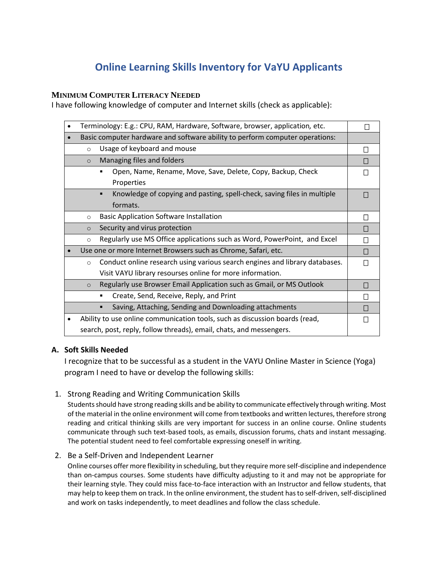# **Online Learning Skills Inventory for VaYU Applicants**

# **MINIMUM COMPUTER LITERACY NEEDED**

I have following knowledge of computer and Internet skills (check as applicable):

| Terminology: E.g.: CPU, RAM, Hardware, Software, browser, application, etc.  |                                                                              |              |
|------------------------------------------------------------------------------|------------------------------------------------------------------------------|--------------|
| Basic computer hardware and software ability to perform computer operations: |                                                                              |              |
| $\circ$                                                                      | Usage of keyboard and mouse                                                  | П            |
| $\circ$                                                                      | Managing files and folders                                                   | П            |
|                                                                              | Open, Name, Rename, Move, Save, Delete, Copy, Backup, Check                  | П            |
|                                                                              | Properties                                                                   |              |
|                                                                              | Knowledge of copying and pasting, spell-check, saving files in multiple<br>٠ | П            |
|                                                                              | formats.                                                                     |              |
| $\circ$                                                                      | <b>Basic Application Software Installation</b>                               |              |
| $\circ$                                                                      | Security and virus protection                                                | П            |
| $\circ$                                                                      | Regularly use MS Office applications such as Word, PowerPoint, and Excel     | П            |
|                                                                              | Use one or more Internet Browsers such as Chrome, Safari, etc.               | П            |
| $\circ$                                                                      | Conduct online research using various search engines and library databases.  | П            |
|                                                                              | Visit VAYU library resourses online for more information.                    |              |
| $\circ$                                                                      | Regularly use Browser Email Application such as Gmail, or MS Outlook         | $\mathsf{L}$ |
|                                                                              | Create, Send, Receive, Reply, and Print<br>٠                                 | $\mathsf{L}$ |
|                                                                              | Saving, Attaching, Sending and Downloading attachments<br>п                  | $\Box$       |
|                                                                              | Ability to use online communication tools, such as discussion boards (read,  |              |
| search, post, reply, follow threads), email, chats, and messengers.          |                                                                              |              |

# **A. Soft Skills Needed**

I recognize that to be successful as a student in the VAYU Online Master in Science (Yoga) program I need to have or develop the following skills:

### 1. Strong Reading and Writing Communication Skills

Students should have strong reading skills and be ability to communicate effectively through writing. Most of the material in the online environment will come from textbooks and written lectures, therefore strong reading and critical thinking skills are very important for success in an online course. Online students communicate through such text-based tools, as emails, discussion forums, chats and instant messaging. The potential student need to feel comfortable expressing oneself in writing.

# 2. Be a Self-Driven and Independent Learner

Online courses offer more flexibility in scheduling, but they require more self-discipline and independence than on-campus courses. Some students have difficulty adjusting to it and may not be appropriate for their learning style. They could miss face-to-face interaction with an Instructor and fellow students, that may help to keep them on track. In the online environment, the student has to self-driven, self-disciplined and work on tasks independently, to meet deadlines and follow the class schedule.